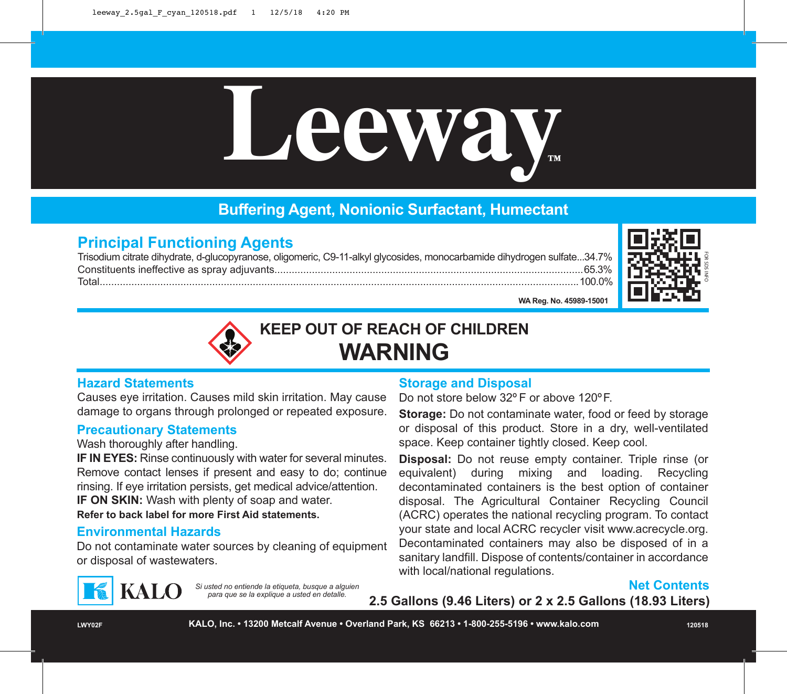

# **Buffering Agent, Nonionic Surfactant, Humectant**

# **Principal Functioning Agents**

Trisodium citrate dihydrate, d-glucopyranose, oligomeric, C9-11-alkyl glycosides, monocarbamide dihydrogen sulfate...34.7% Constituents ineffective as spray adjuvants...........................................................................................................65.3% Total......................................................................................................................................................................100.0%



**WA Reg. No. 45989-15001**



**KEEP OUT OF REACH OF CHILDREN WARNING**

#### **Hazard Statements**

Causes eye irritation. Causes mild skin irritation. May cause damage to organs through prolonged or repeated exposure.

### **Precautionary Statements**

Wash thoroughly after handling.

**IF IN EYES:** Rinse continuously with water for several minutes. Remove contact lenses if present and easy to do; continue rinsing. If eye irritation persists, get medical advice/attention.

**IF ON SKIN:** Wash with plenty of soap and water.

**Refer to back label for more First Aid statements.**

# **Environmental Hazards**

**KALO** 

Do not contaminate water sources by cleaning of equipment or disposal of wastewaters.

*Si usted no entiende la etiqueta, busque a alguien para que se la explique a usted en detalle.*

#### **Storage and Disposal**

Do not store below 32º F or above 120ºF.

**Storage:** Do not contaminate water, food or feed by storage or disposal of this product. Store in a dry, well-ventilated space. Keep container tightly closed. Keep cool.

**Disposal:** Do not reuse empty container. Triple rinse (or equivalent) during mixing and loading. Recycling decontaminated containers is the best option of container disposal. The Agricultural Container Recycling Council (ACRC) operates the national recycling program. To contact your state and local ACRC recycler visit www.acrecycle.org. Decontaminated containers may also be disposed of in a sanitary landfill. Dispose of contents/container in accordance with local/national regulations.



**2.5 Gallons (9.46 Liters) or 2 x 2.5 Gallons (18.93 Liters)**

**LWY02F KALO, Inc. • 13200 Metcalf Avenue • Overland Park, KS 66213 • 1-800-255-5196 • www.kalo.com 120518**